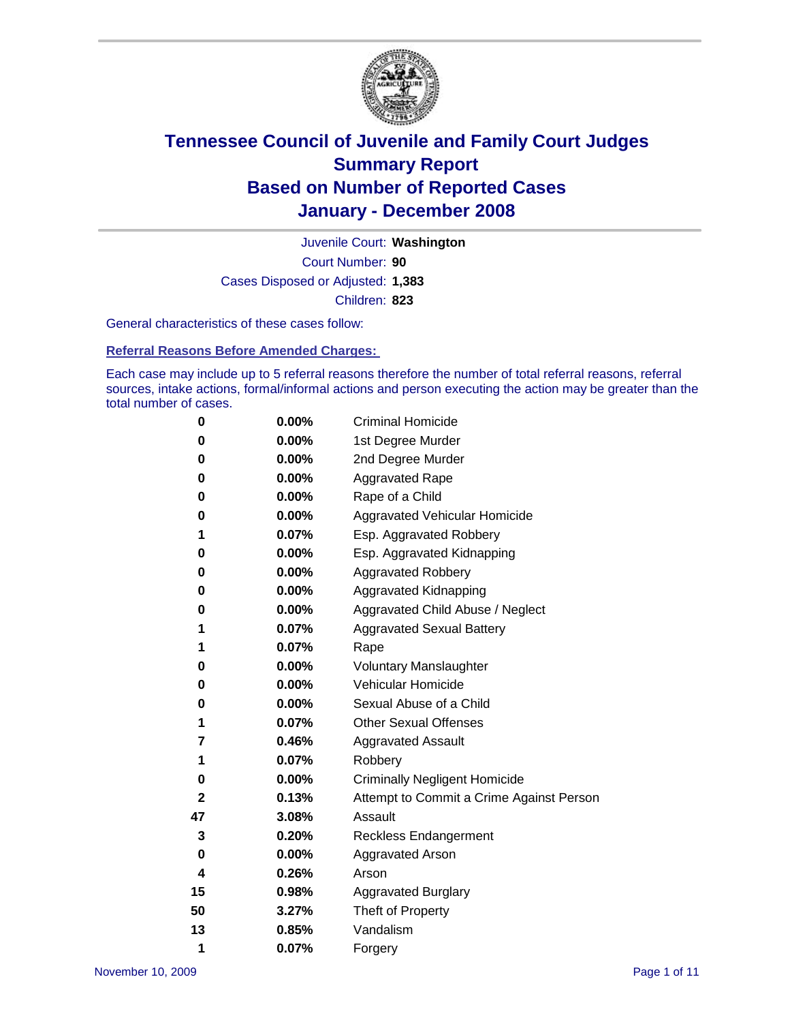

Court Number: **90** Juvenile Court: **Washington** Cases Disposed or Adjusted: **1,383** Children: **823**

General characteristics of these cases follow:

**Referral Reasons Before Amended Charges:** 

Each case may include up to 5 referral reasons therefore the number of total referral reasons, referral sources, intake actions, formal/informal actions and person executing the action may be greater than the total number of cases.

| 0  | 0.00%    | <b>Criminal Homicide</b>                 |
|----|----------|------------------------------------------|
| 0  | 0.00%    | 1st Degree Murder                        |
| 0  | $0.00\%$ | 2nd Degree Murder                        |
| 0  | 0.00%    | <b>Aggravated Rape</b>                   |
| 0  | 0.00%    | Rape of a Child                          |
| 0  | 0.00%    | Aggravated Vehicular Homicide            |
| 1  | 0.07%    | Esp. Aggravated Robbery                  |
| 0  | 0.00%    | Esp. Aggravated Kidnapping               |
| 0  | 0.00%    | <b>Aggravated Robbery</b>                |
| 0  | $0.00\%$ | Aggravated Kidnapping                    |
| 0  | 0.00%    | Aggravated Child Abuse / Neglect         |
| 1  | 0.07%    | <b>Aggravated Sexual Battery</b>         |
| 1  | 0.07%    | Rape                                     |
| 0  | 0.00%    | <b>Voluntary Manslaughter</b>            |
| 0  | 0.00%    | Vehicular Homicide                       |
| 0  | 0.00%    | Sexual Abuse of a Child                  |
| 1  | 0.07%    | <b>Other Sexual Offenses</b>             |
| 7  | 0.46%    | <b>Aggravated Assault</b>                |
| 1  | 0.07%    | Robbery                                  |
| 0  | 0.00%    | <b>Criminally Negligent Homicide</b>     |
| 2  | 0.13%    | Attempt to Commit a Crime Against Person |
| 47 | 3.08%    | Assault                                  |
| 3  | 0.20%    | <b>Reckless Endangerment</b>             |
| 0  | 0.00%    | <b>Aggravated Arson</b>                  |
| 4  | 0.26%    | Arson                                    |
| 15 | 0.98%    | <b>Aggravated Burglary</b>               |
| 50 | 3.27%    | Theft of Property                        |
| 13 | 0.85%    | Vandalism                                |
| 1  | 0.07%    | Forgery                                  |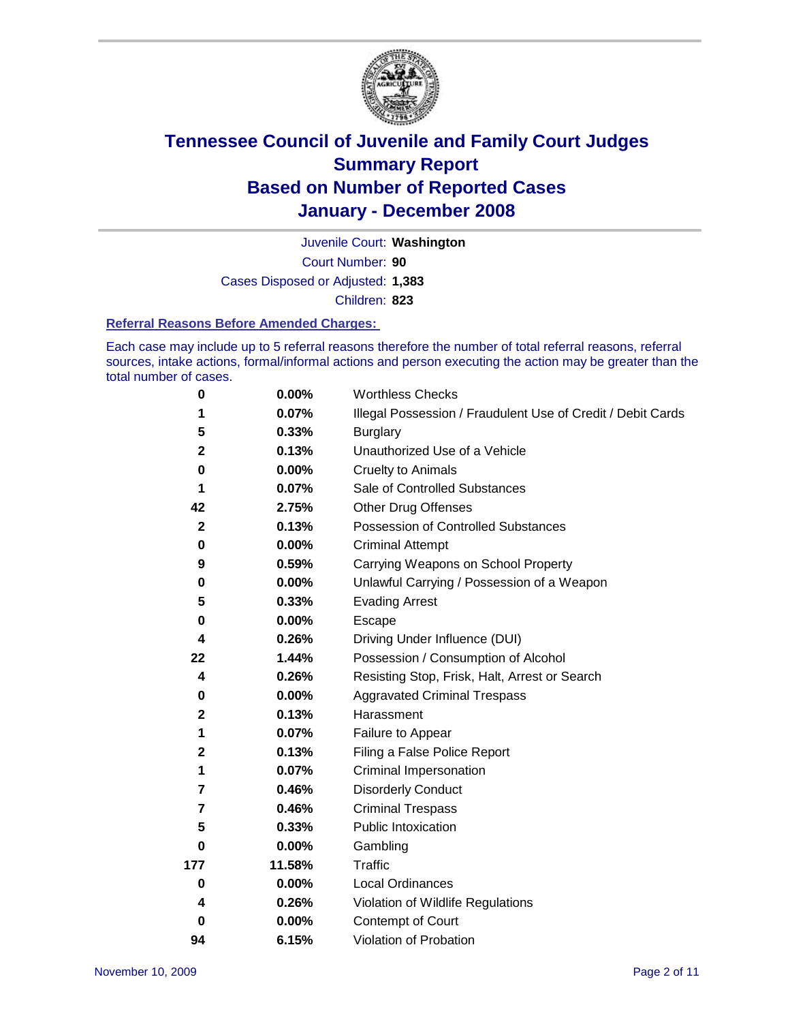

Court Number: **90** Juvenile Court: **Washington** Cases Disposed or Adjusted: **1,383** Children: **823**

#### **Referral Reasons Before Amended Charges:**

Each case may include up to 5 referral reasons therefore the number of total referral reasons, referral sources, intake actions, formal/informal actions and person executing the action may be greater than the total number of cases.

| 0              | 0.00%    | <b>Worthless Checks</b>                                     |  |  |
|----------------|----------|-------------------------------------------------------------|--|--|
| 1              | 0.07%    | Illegal Possession / Fraudulent Use of Credit / Debit Cards |  |  |
| 5              | 0.33%    | <b>Burglary</b>                                             |  |  |
| $\mathbf 2$    | 0.13%    | Unauthorized Use of a Vehicle                               |  |  |
| 0              | $0.00\%$ | <b>Cruelty to Animals</b>                                   |  |  |
| 1              | 0.07%    | Sale of Controlled Substances                               |  |  |
| 42             | 2.75%    | <b>Other Drug Offenses</b>                                  |  |  |
| $\mathbf{2}$   | 0.13%    | Possession of Controlled Substances                         |  |  |
| 0              | $0.00\%$ | <b>Criminal Attempt</b>                                     |  |  |
| 9              | 0.59%    | Carrying Weapons on School Property                         |  |  |
| 0              | 0.00%    | Unlawful Carrying / Possession of a Weapon                  |  |  |
| 5              | 0.33%    | <b>Evading Arrest</b>                                       |  |  |
| 0              | 0.00%    | Escape                                                      |  |  |
| 4              | 0.26%    | Driving Under Influence (DUI)                               |  |  |
| 22             | 1.44%    | Possession / Consumption of Alcohol                         |  |  |
| 4              | 0.26%    | Resisting Stop, Frisk, Halt, Arrest or Search               |  |  |
| 0              | 0.00%    | <b>Aggravated Criminal Trespass</b>                         |  |  |
| $\mathbf 2$    | 0.13%    | Harassment                                                  |  |  |
| 1              | 0.07%    | Failure to Appear                                           |  |  |
| $\mathbf 2$    | 0.13%    | Filing a False Police Report                                |  |  |
| 1              | 0.07%    | Criminal Impersonation                                      |  |  |
| 7              | 0.46%    | <b>Disorderly Conduct</b>                                   |  |  |
| $\overline{7}$ | 0.46%    | <b>Criminal Trespass</b>                                    |  |  |
| 5              | 0.33%    | Public Intoxication                                         |  |  |
| 0              | $0.00\%$ | Gambling                                                    |  |  |
| 177            | 11.58%   | Traffic                                                     |  |  |
| 0              | $0.00\%$ | Local Ordinances                                            |  |  |
| 4              | 0.26%    | Violation of Wildlife Regulations                           |  |  |
| 0              | $0.00\%$ | Contempt of Court                                           |  |  |
| 94             | 6.15%    | Violation of Probation                                      |  |  |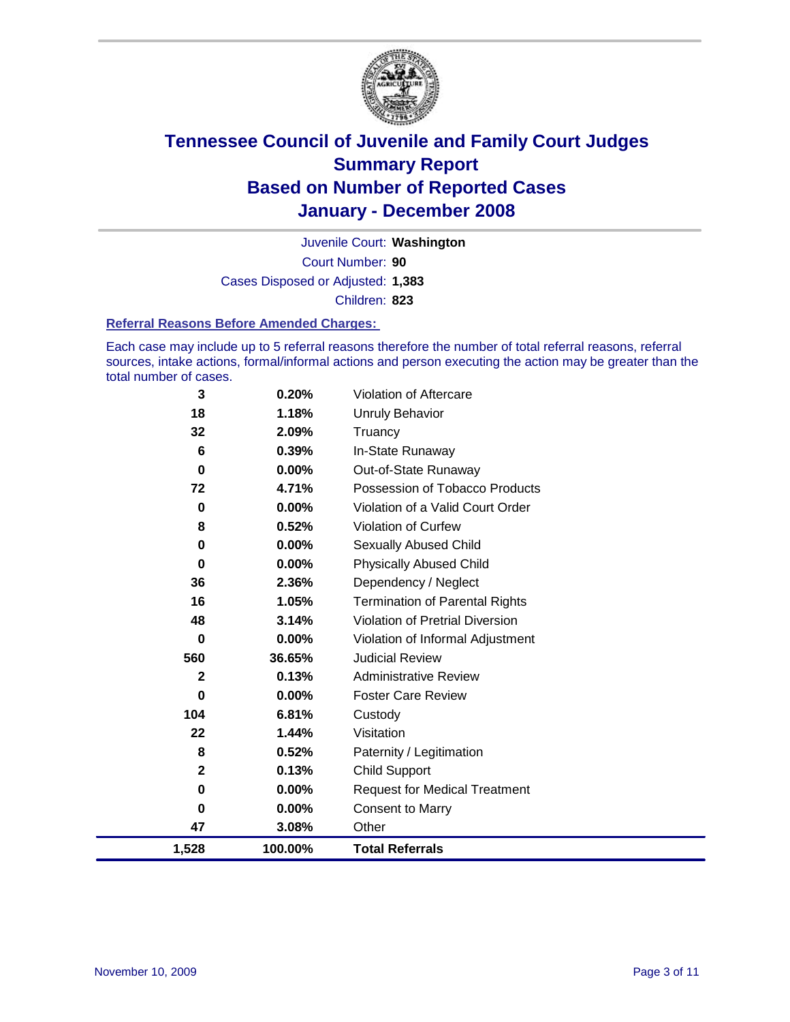

Court Number: **90** Juvenile Court: **Washington** Cases Disposed or Adjusted: **1,383** Children: **823**

#### **Referral Reasons Before Amended Charges:**

Each case may include up to 5 referral reasons therefore the number of total referral reasons, referral sources, intake actions, formal/informal actions and person executing the action may be greater than the total number of cases.

| 3            | 0.20%    | Violation of Aftercare                 |
|--------------|----------|----------------------------------------|
| 18           | 1.18%    | Unruly Behavior                        |
| 32           | 2.09%    | Truancy                                |
| 6            | 0.39%    | In-State Runaway                       |
| 0            | 0.00%    | Out-of-State Runaway                   |
| 72           | 4.71%    | Possession of Tobacco Products         |
| 0            | $0.00\%$ | Violation of a Valid Court Order       |
| 8            | 0.52%    | <b>Violation of Curfew</b>             |
| 0            | 0.00%    | Sexually Abused Child                  |
| 0            | $0.00\%$ | <b>Physically Abused Child</b>         |
| 36           | 2.36%    | Dependency / Neglect                   |
| 16           | 1.05%    | <b>Termination of Parental Rights</b>  |
| 48           | 3.14%    | <b>Violation of Pretrial Diversion</b> |
| 0            | 0.00%    | Violation of Informal Adjustment       |
| 560          | 36.65%   | <b>Judicial Review</b>                 |
| $\mathbf{2}$ | 0.13%    | <b>Administrative Review</b>           |
| 0            | $0.00\%$ | <b>Foster Care Review</b>              |
| 104          | 6.81%    | Custody                                |
| 22           | 1.44%    | Visitation                             |
| 8            | 0.52%    | Paternity / Legitimation               |
| $\mathbf{2}$ | 0.13%    | <b>Child Support</b>                   |
| 0            | 0.00%    | <b>Request for Medical Treatment</b>   |
| 0            | 0.00%    | <b>Consent to Marry</b>                |
| 47           | 3.08%    | Other                                  |
| 1,528        | 100.00%  | <b>Total Referrals</b>                 |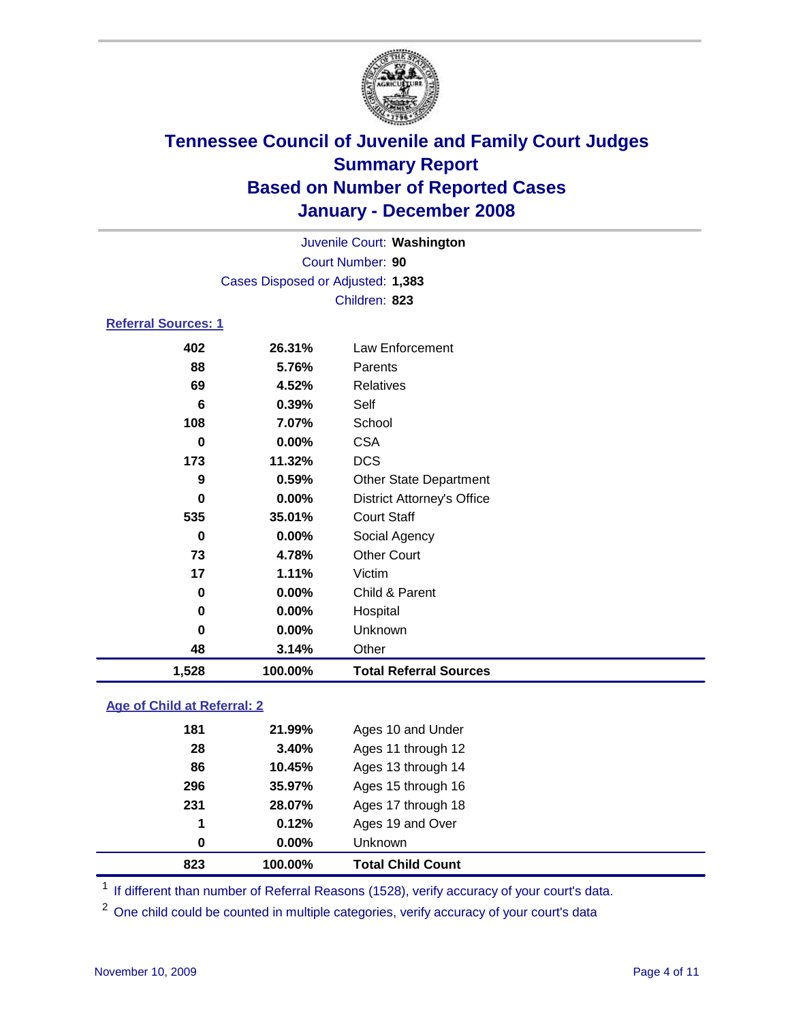

Court Number: **90** Juvenile Court: **Washington** Cases Disposed or Adjusted: **1,383** Children: **823**

#### **Referral Sources: 1**

| 48  | 3.14%  | Other                             |
|-----|--------|-----------------------------------|
| 0   | 0.00%  | Unknown                           |
| 0   | 0.00%  | Hospital                          |
| 0   | 0.00%  | Child & Parent                    |
| 17  | 1.11%  | Victim                            |
| 73  | 4.78%  | <b>Other Court</b>                |
| 0   | 0.00%  | Social Agency                     |
| 535 | 35.01% | <b>Court Staff</b>                |
| 0   | 0.00%  | <b>District Attorney's Office</b> |
| 9   | 0.59%  | <b>Other State Department</b>     |
| 173 | 11.32% | <b>DCS</b>                        |
| 0   | 0.00%  | <b>CSA</b>                        |
| 108 | 7.07%  | School                            |
| 6   | 0.39%  | Self                              |
| 69  | 4.52%  | Relatives                         |
| 88  | 5.76%  | Parents                           |
| 402 | 26.31% | Law Enforcement                   |
|     |        |                                   |

#### **Age of Child at Referral: 2**

| 823 | 100.00% | <b>Total Child Count</b> |
|-----|---------|--------------------------|
| 0   | 0.00%   | Unknown                  |
| 1   | 0.12%   | Ages 19 and Over         |
| 231 | 28.07%  | Ages 17 through 18       |
| 296 | 35.97%  | Ages 15 through 16       |
| 86  | 10.45%  | Ages 13 through 14       |
| 28  | 3.40%   | Ages 11 through 12       |
| 181 | 21.99%  | Ages 10 and Under        |
|     |         |                          |

<sup>1</sup> If different than number of Referral Reasons (1528), verify accuracy of your court's data.

<sup>2</sup> One child could be counted in multiple categories, verify accuracy of your court's data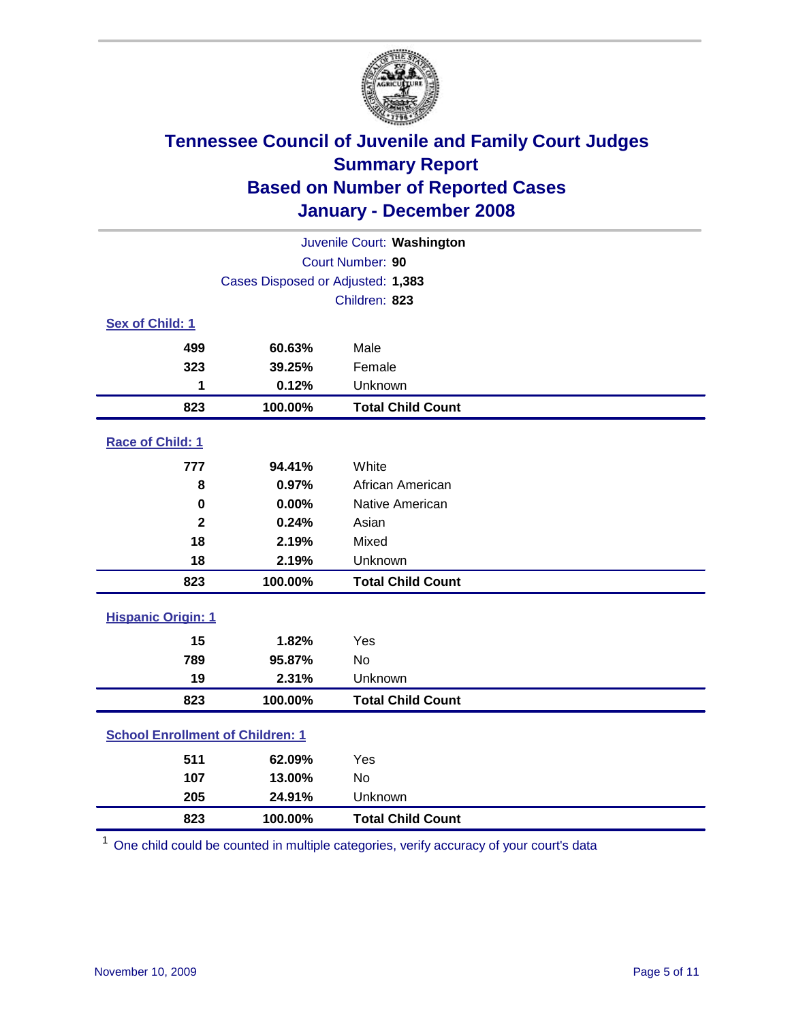

| Juvenile Court: Washington              |                                   |                          |  |  |  |
|-----------------------------------------|-----------------------------------|--------------------------|--|--|--|
|                                         | Court Number: 90                  |                          |  |  |  |
|                                         | Cases Disposed or Adjusted: 1,383 |                          |  |  |  |
|                                         |                                   | Children: 823            |  |  |  |
| Sex of Child: 1                         |                                   |                          |  |  |  |
| 499                                     | 60.63%                            | Male                     |  |  |  |
| 323                                     | 39.25%                            | Female                   |  |  |  |
| 1                                       | 0.12%                             | Unknown                  |  |  |  |
| 823                                     | 100.00%                           | <b>Total Child Count</b> |  |  |  |
| Race of Child: 1                        |                                   |                          |  |  |  |
| 777                                     | 94.41%                            | White                    |  |  |  |
| 8                                       | 0.97%                             | African American         |  |  |  |
| 0                                       | 0.00%                             | Native American          |  |  |  |
| $\overline{\mathbf{2}}$                 | 0.24%                             | Asian                    |  |  |  |
| 18                                      | 2.19%                             | Mixed                    |  |  |  |
| 18                                      | 2.19%                             | Unknown                  |  |  |  |
| 823                                     | 100.00%                           | <b>Total Child Count</b> |  |  |  |
| <b>Hispanic Origin: 1</b>               |                                   |                          |  |  |  |
| 15                                      | 1.82%                             | Yes                      |  |  |  |
| 789                                     | 95.87%                            | <b>No</b>                |  |  |  |
| 19                                      | 2.31%                             | Unknown                  |  |  |  |
| 823                                     | 100.00%                           | <b>Total Child Count</b> |  |  |  |
| <b>School Enrollment of Children: 1</b> |                                   |                          |  |  |  |
| 511                                     | 62.09%                            | Yes                      |  |  |  |
| 107                                     | 13.00%                            | No                       |  |  |  |
| 205                                     | 24.91%                            | Unknown                  |  |  |  |
| 823                                     | 100.00%                           | <b>Total Child Count</b> |  |  |  |

One child could be counted in multiple categories, verify accuracy of your court's data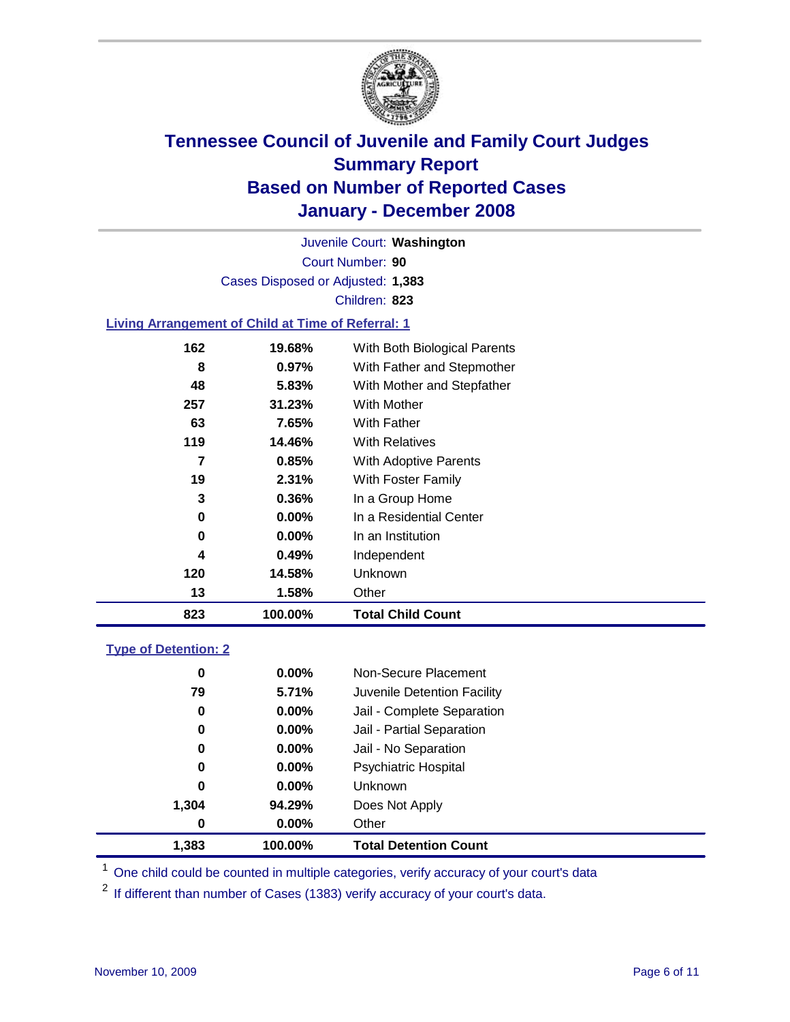

Court Number: **90** Juvenile Court: **Washington** Cases Disposed or Adjusted: **1,383** Children: **823**

#### **Living Arrangement of Child at Time of Referral: 1**

| 823 | 100.00%       | <b>Total Child Count</b>     |
|-----|---------------|------------------------------|
| 13  | 1.58%         | Other                        |
| 120 | 14.58%        | Unknown                      |
|     | 0.49%<br>4    | Independent                  |
|     | $0.00\%$<br>0 | In an Institution            |
|     | $0.00\%$<br>0 | In a Residential Center      |
|     | 3<br>0.36%    | In a Group Home              |
| 19  | $2.31\%$      | With Foster Family           |
|     | 7<br>0.85%    | With Adoptive Parents        |
| 119 | 14.46%        | <b>With Relatives</b>        |
| 63  | 7.65%         | With Father                  |
| 257 | 31.23%        | With Mother                  |
| 48  | 5.83%         | With Mother and Stepfather   |
|     | 8<br>$0.97\%$ | With Father and Stepmother   |
| 162 | 19.68%        | With Both Biological Parents |
|     |               |                              |

#### **Type of Detention: 2**

| 1,383 | 100.00%  | <b>Total Detention Count</b> |  |
|-------|----------|------------------------------|--|
| 0     | $0.00\%$ | Other                        |  |
| 1,304 | 94.29%   | Does Not Apply               |  |
| 0     | $0.00\%$ | <b>Unknown</b>               |  |
| 0     | 0.00%    | <b>Psychiatric Hospital</b>  |  |
| 0     | 0.00%    | Jail - No Separation         |  |
| 0     | $0.00\%$ | Jail - Partial Separation    |  |
| 0     | $0.00\%$ | Jail - Complete Separation   |  |
| 79    | 5.71%    | Juvenile Detention Facility  |  |
| 0     | $0.00\%$ | Non-Secure Placement         |  |
|       |          |                              |  |

<sup>1</sup> One child could be counted in multiple categories, verify accuracy of your court's data

<sup>2</sup> If different than number of Cases (1383) verify accuracy of your court's data.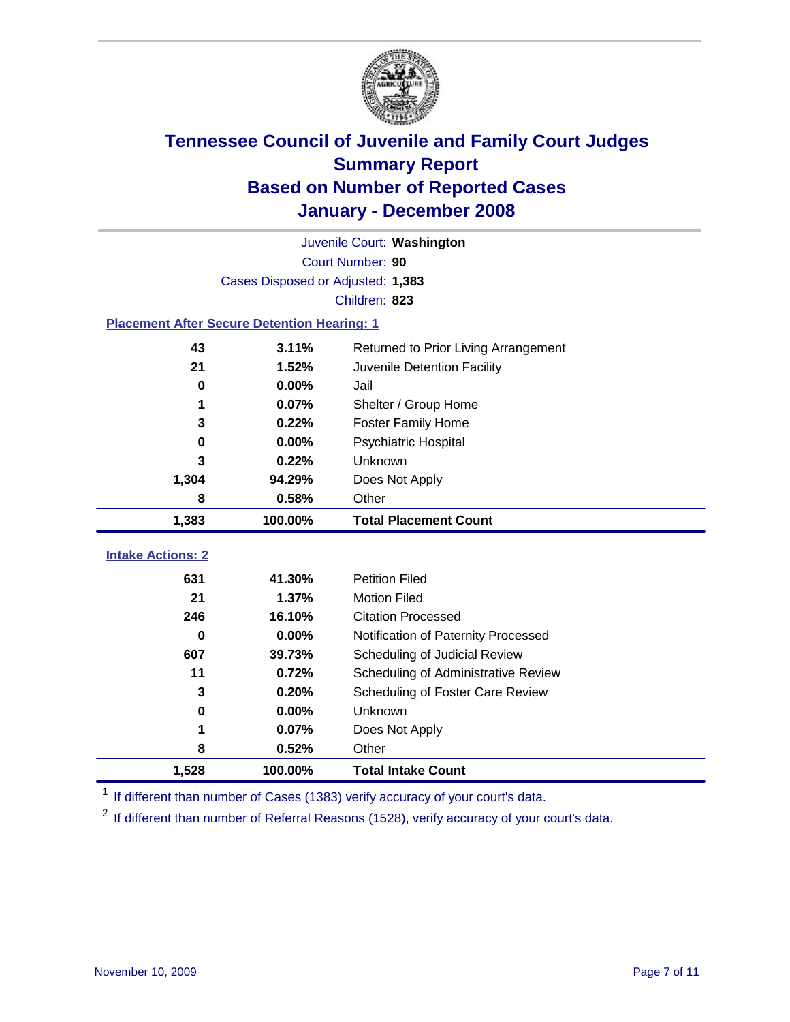

|                                                    | Juvenile Court: Washington        |                                      |  |  |  |
|----------------------------------------------------|-----------------------------------|--------------------------------------|--|--|--|
|                                                    | Court Number: 90                  |                                      |  |  |  |
|                                                    | Cases Disposed or Adjusted: 1,383 |                                      |  |  |  |
|                                                    |                                   | Children: 823                        |  |  |  |
| <b>Placement After Secure Detention Hearing: 1</b> |                                   |                                      |  |  |  |
| 43                                                 | 3.11%                             | Returned to Prior Living Arrangement |  |  |  |
| 21                                                 | 1.52%                             | Juvenile Detention Facility          |  |  |  |
| $\bf{0}$                                           | 0.00%                             | Jail                                 |  |  |  |
| 1                                                  | 0.07%                             | Shelter / Group Home                 |  |  |  |
| 3                                                  | 0.22%                             | <b>Foster Family Home</b>            |  |  |  |
| $\bf{0}$                                           | 0.00%                             | Psychiatric Hospital                 |  |  |  |
| 3                                                  | 0.22%                             | Unknown                              |  |  |  |
| 1,304                                              | 94.29%                            | Does Not Apply                       |  |  |  |
| 8                                                  | 0.58%                             | Other                                |  |  |  |
| 1,383                                              | 100.00%                           | <b>Total Placement Count</b>         |  |  |  |
|                                                    |                                   |                                      |  |  |  |
| <b>Intake Actions: 2</b>                           |                                   |                                      |  |  |  |
| 631                                                | 41.30%                            | <b>Petition Filed</b>                |  |  |  |
| 21                                                 | 1.37%                             | <b>Motion Filed</b>                  |  |  |  |
| 246                                                | 16.10%                            | <b>Citation Processed</b>            |  |  |  |
| $\bf{0}$                                           | 0.00%                             | Notification of Paternity Processed  |  |  |  |
| 607                                                | 39.73%                            | Scheduling of Judicial Review        |  |  |  |
| 11                                                 | 0.72%                             | Scheduling of Administrative Review  |  |  |  |
| 3                                                  | 0.20%                             | Scheduling of Foster Care Review     |  |  |  |
| 0                                                  | 0.00%                             | Unknown                              |  |  |  |
| 1                                                  | 0.07%                             | Does Not Apply                       |  |  |  |
| 8                                                  | 0.52%                             | Other                                |  |  |  |
| 1,528                                              | 100.00%                           | <b>Total Intake Count</b>            |  |  |  |

<sup>1</sup> If different than number of Cases (1383) verify accuracy of your court's data.

<sup>2</sup> If different than number of Referral Reasons (1528), verify accuracy of your court's data.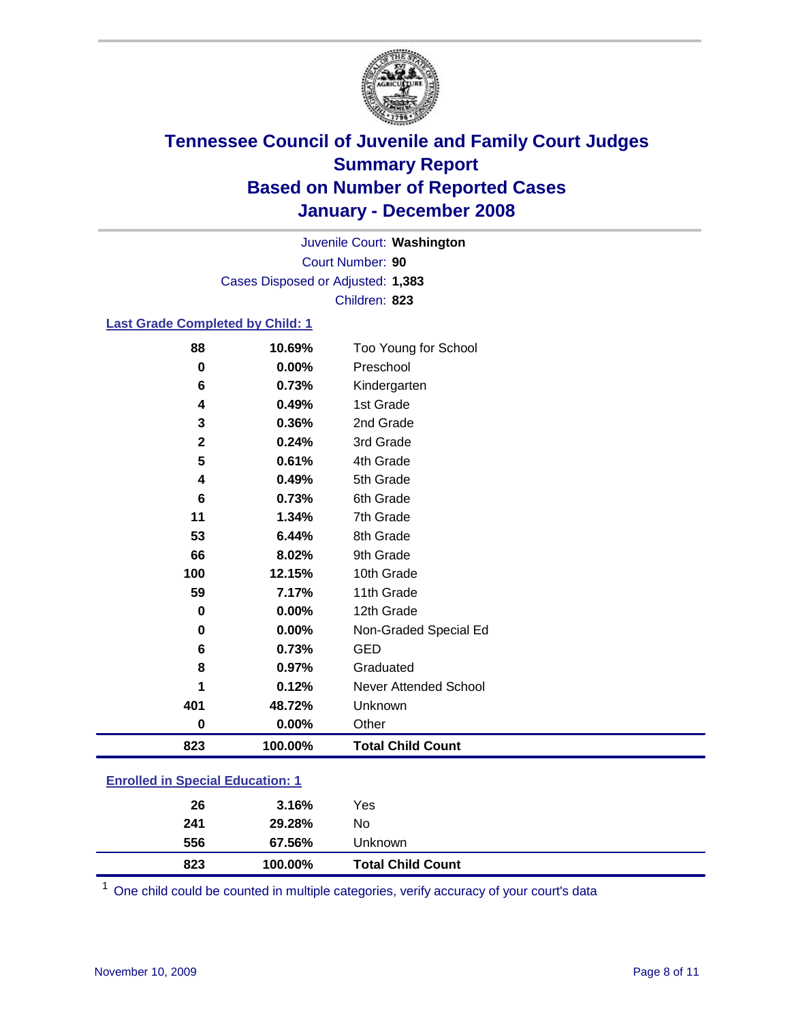

Court Number: **90** Juvenile Court: **Washington** Cases Disposed or Adjusted: **1,383** Children: **823**

#### **Last Grade Completed by Child: 1**

| 88           | 10.69%  | Too Young for School     |
|--------------|---------|--------------------------|
| 0            | 0.00%   | Preschool                |
| 6            | 0.73%   | Kindergarten             |
| 4            | 0.49%   | 1st Grade                |
| 3            | 0.36%   | 2nd Grade                |
| $\mathbf{2}$ | 0.24%   | 3rd Grade                |
| 5            | 0.61%   | 4th Grade                |
| 4            | 0.49%   | 5th Grade                |
| 6            | 0.73%   | 6th Grade                |
| 11           | 1.34%   | 7th Grade                |
| 53           | 6.44%   | 8th Grade                |
| 66           | 8.02%   | 9th Grade                |
| 100          | 12.15%  | 10th Grade               |
| 59           | 7.17%   | 11th Grade               |
| $\mathbf 0$  | 0.00%   | 12th Grade               |
| $\bf{0}$     | 0.00%   | Non-Graded Special Ed    |
| 6            | 0.73%   | <b>GED</b>               |
| 8            | 0.97%   | Graduated                |
|              | 0.12%   | Never Attended School    |
| 401          | 48.72%  | Unknown                  |
| $\bf{0}$     | 0.00%   | Other                    |
| 823          | 100.00% | <b>Total Child Count</b> |

### **Enrolled in Special Education: 1**

| 823 | 100.00% | <b>Total Child Count</b> |  |
|-----|---------|--------------------------|--|
| 556 | 67.56%  | Unknown                  |  |
| 241 | 29.28%  | No                       |  |
| 26  | 3.16%   | Yes                      |  |

One child could be counted in multiple categories, verify accuracy of your court's data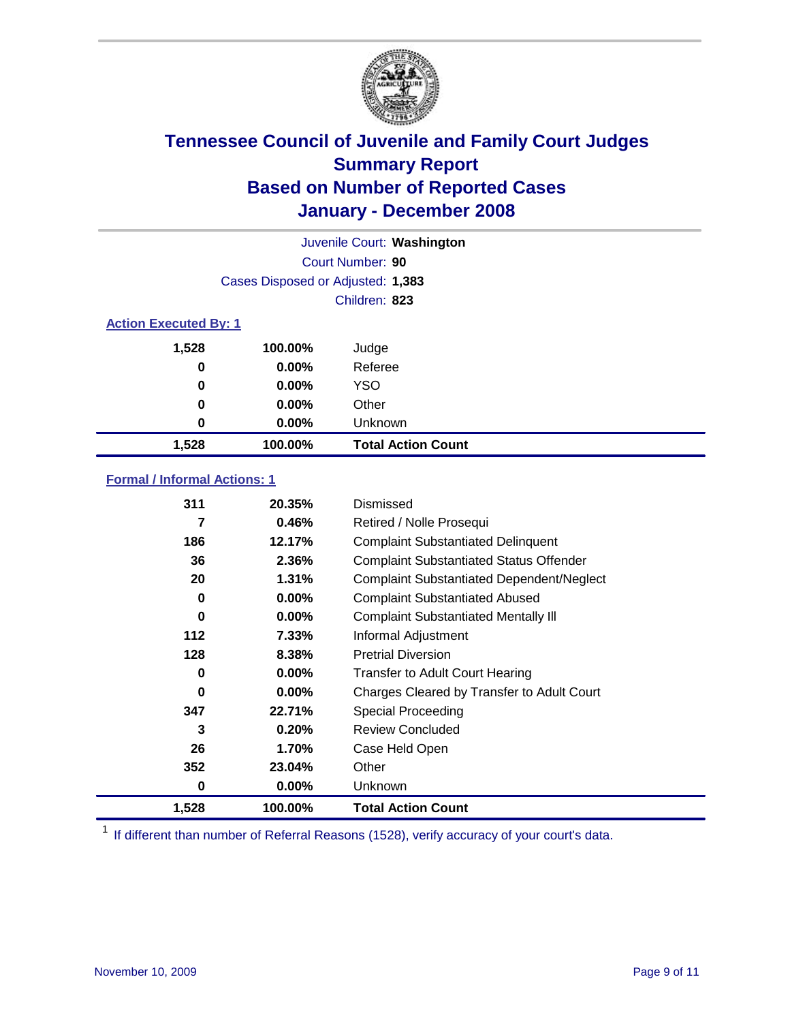

| Juvenile Court: Washington   |                                   |                           |  |  |  |
|------------------------------|-----------------------------------|---------------------------|--|--|--|
|                              | Court Number: 90                  |                           |  |  |  |
|                              | Cases Disposed or Adjusted: 1,383 |                           |  |  |  |
|                              |                                   | Children: 823             |  |  |  |
| <b>Action Executed By: 1</b> |                                   |                           |  |  |  |
| 1,528                        | 100.00%                           | Judge                     |  |  |  |
| 0                            | $0.00\%$                          | Referee                   |  |  |  |
| 0                            | $0.00\%$                          | <b>YSO</b>                |  |  |  |
| 0                            | $0.00\%$                          | Other                     |  |  |  |
| 0                            | $0.00\%$                          | Unknown                   |  |  |  |
| 1,528                        | 100.00%                           | <b>Total Action Count</b> |  |  |  |

### **Formal / Informal Actions: 1**

| 311   | 20.35%   | Dismissed                                        |
|-------|----------|--------------------------------------------------|
| 7     | 0.46%    | Retired / Nolle Prosequi                         |
| 186   | 12.17%   | <b>Complaint Substantiated Delinquent</b>        |
| 36    | 2.36%    | <b>Complaint Substantiated Status Offender</b>   |
| 20    | 1.31%    | <b>Complaint Substantiated Dependent/Neglect</b> |
| 0     | 0.00%    | <b>Complaint Substantiated Abused</b>            |
| 0     | $0.00\%$ | <b>Complaint Substantiated Mentally III</b>      |
| 112   | $7.33\%$ | Informal Adjustment                              |
| 128   | 8.38%    | <b>Pretrial Diversion</b>                        |
| 0     | 0.00%    | <b>Transfer to Adult Court Hearing</b>           |
| 0     | $0.00\%$ | Charges Cleared by Transfer to Adult Court       |
| 347   | 22.71%   | Special Proceeding                               |
| 3     | 0.20%    | <b>Review Concluded</b>                          |
| 26    | 1.70%    | Case Held Open                                   |
| 352   | 23.04%   | Other                                            |
| 0     | 0.00%    | <b>Unknown</b>                                   |
| 1,528 | 100.00%  | <b>Total Action Count</b>                        |

<sup>1</sup> If different than number of Referral Reasons (1528), verify accuracy of your court's data.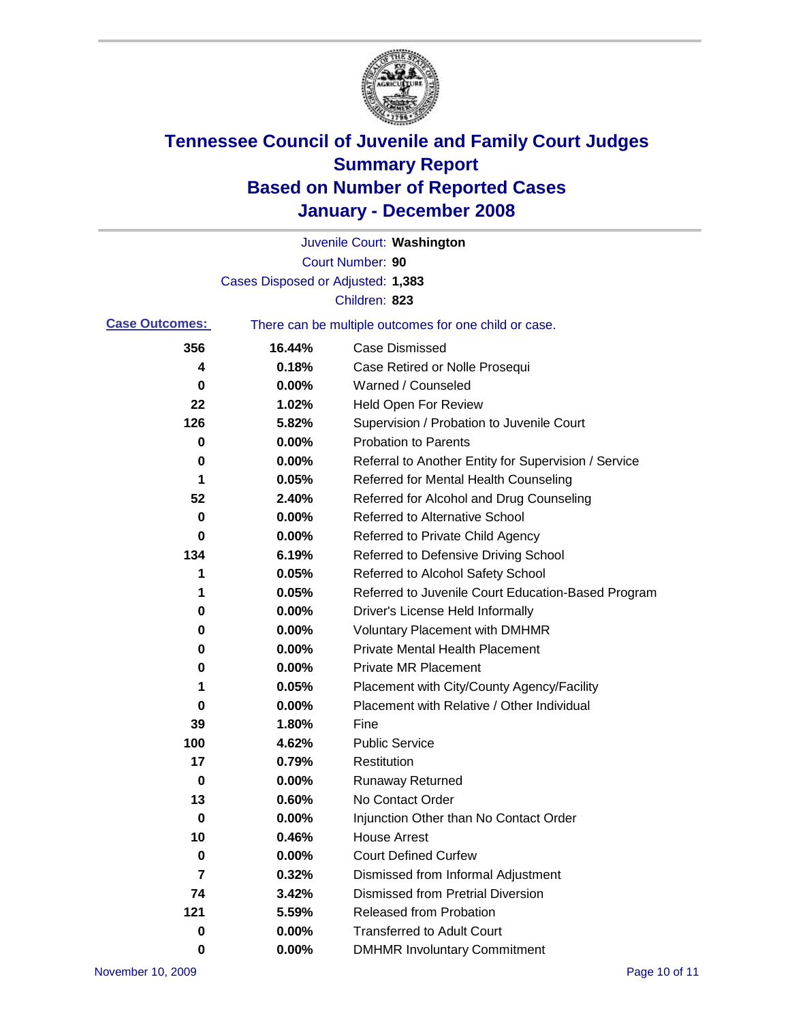

|                       |                                   | Juvenile Court: Washington                            |
|-----------------------|-----------------------------------|-------------------------------------------------------|
|                       |                                   | Court Number: 90                                      |
|                       | Cases Disposed or Adjusted: 1,383 |                                                       |
|                       |                                   | Children: 823                                         |
| <b>Case Outcomes:</b> |                                   | There can be multiple outcomes for one child or case. |
| 356                   | 16.44%                            | <b>Case Dismissed</b>                                 |
| 4                     | 0.18%                             | Case Retired or Nolle Prosequi                        |
| 0                     | 0.00%                             | Warned / Counseled                                    |
| 22                    | 1.02%                             | <b>Held Open For Review</b>                           |
| 126                   | 5.82%                             | Supervision / Probation to Juvenile Court             |
| 0                     | 0.00%                             | <b>Probation to Parents</b>                           |
| 0                     | 0.00%                             | Referral to Another Entity for Supervision / Service  |
| 1                     | 0.05%                             | Referred for Mental Health Counseling                 |
| 52                    | 2.40%                             | Referred for Alcohol and Drug Counseling              |
| 0                     | 0.00%                             | <b>Referred to Alternative School</b>                 |
| 0                     | 0.00%                             | Referred to Private Child Agency                      |
| 134                   | 6.19%                             | Referred to Defensive Driving School                  |
| 1                     | 0.05%                             | Referred to Alcohol Safety School                     |
| 1                     | 0.05%                             | Referred to Juvenile Court Education-Based Program    |
| 0                     | 0.00%                             | Driver's License Held Informally                      |
| 0                     | 0.00%                             | <b>Voluntary Placement with DMHMR</b>                 |
| 0                     | 0.00%                             | <b>Private Mental Health Placement</b>                |
| 0                     | 0.00%                             | <b>Private MR Placement</b>                           |
| 1                     | 0.05%                             | Placement with City/County Agency/Facility            |
| 0                     | 0.00%                             | Placement with Relative / Other Individual            |
| 39                    | 1.80%                             | Fine                                                  |
| 100                   | 4.62%                             | <b>Public Service</b>                                 |
| 17                    | 0.79%                             | Restitution                                           |
| 0                     | 0.00%                             | <b>Runaway Returned</b>                               |
| 13                    | 0.60%                             | No Contact Order                                      |
| 0                     | 0.00%                             | Injunction Other than No Contact Order                |
| 10                    | 0.46%                             | <b>House Arrest</b>                                   |
| 0                     | 0.00%                             | <b>Court Defined Curfew</b>                           |
| 7                     | 0.32%                             | Dismissed from Informal Adjustment                    |
| 74                    | 3.42%                             | <b>Dismissed from Pretrial Diversion</b>              |
| 121                   | 5.59%                             | <b>Released from Probation</b>                        |
| 0                     | 0.00%                             | <b>Transferred to Adult Court</b>                     |
| 0                     | $0.00\%$                          | <b>DMHMR Involuntary Commitment</b>                   |